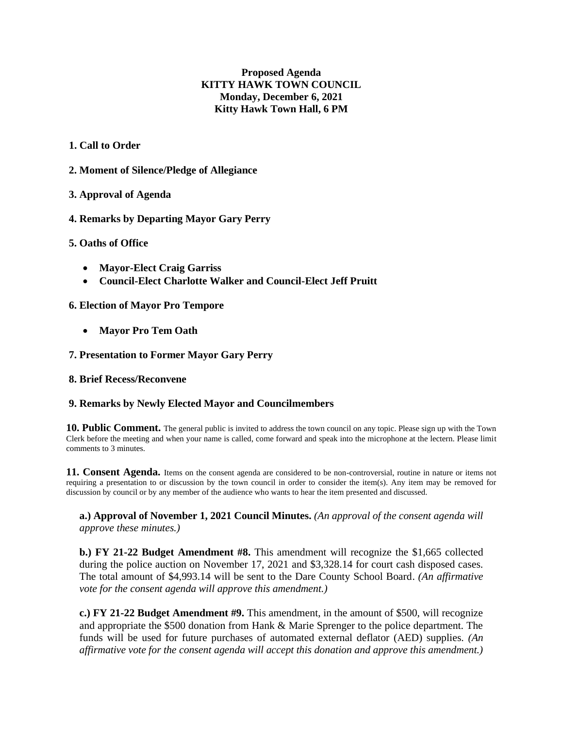# **Proposed Agenda KITTY HAWK TOWN COUNCIL Monday, December 6, 2021 Kitty Hawk Town Hall, 6 PM**

# **1. Call to Order**

**2. Moment of Silence/Pledge of Allegiance**

# **3. Approval of Agenda**

**4. Remarks by Departing Mayor Gary Perry**

## **5. Oaths of Office**

- **Mayor-Elect Craig Garriss**
- **Council-Elect Charlotte Walker and Council-Elect Jeff Pruitt**

## **6. Election of Mayor Pro Tempore**

• **Mayor Pro Tem Oath** 

# **7. Presentation to Former Mayor Gary Perry**

## **8. Brief Recess/Reconvene**

## **9. Remarks by Newly Elected Mayor and Councilmembers**

**10. Public Comment.** The general public is invited to address the town council on any topic. Please sign up with the Town Clerk before the meeting and when your name is called, come forward and speak into the microphone at the lectern. Please limit comments to 3 minutes.

**11. Consent Agenda.** Items on the consent agenda are considered to be non-controversial, routine in nature or items not requiring a presentation to or discussion by the town council in order to consider the item(s). Any item may be removed for discussion by council or by any member of the audience who wants to hear the item presented and discussed.

**a.) Approval of November 1, 2021 Council Minutes.** *(An approval of the consent agenda will approve these minutes.)* 

**b.) FY 21-22 Budget Amendment #8.** This amendment will recognize the \$1,665 collected during the police auction on November 17, 2021 and \$3,328.14 for court cash disposed cases. The total amount of \$4,993.14 will be sent to the Dare County School Board. *(An affirmative vote for the consent agenda will approve this amendment.)*

**c.) FY 21-22 Budget Amendment #9.** This amendment, in the amount of \$500, will recognize and appropriate the \$500 donation from Hank & Marie Sprenger to the police department. The funds will be used for future purchases of automated external deflator (AED) supplies. *(An affirmative vote for the consent agenda will accept this donation and approve this amendment.)*